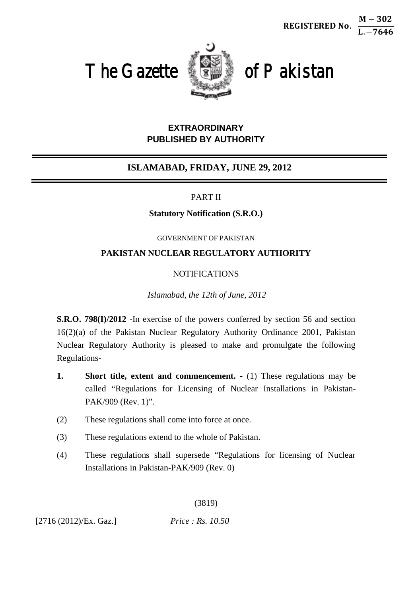REGISTERED No.







# **EXTRAORDINARY PUBLISHED BY AUTHORITY**

# **ISLAMABAD, FRIDAY, JUNE 29, 2012**

## PART II

## **Statutory Notification (S.R.O.)**

#### GOVERNMENT OF PAKISTAN

# **PAKISTAN NUCLEAR REGULATORY AUTHORITY**

# NOTIFICATIONS

*Islamabad, the 12th of June, 2012*

**S.R.O. 798(I)/2012** -In exercise of the powers conferred by section 56 and section 16(2)(a) of the Pakistan Nuclear Regulatory Authority Ordinance 2001, Pakistan Nuclear Regulatory Authority is pleased to make and promulgate the following Regulations-

- **1. Short title, extent and commencement.**  $\cdot$  (1) These regulations may be called "Regulations for Licensing of Nuclear Installations in Pakistan-PAK/909 (Rev. 1)".
- (2) These regulations shall come into force at once.
- (3) These regulations extend to the whole of Pakistan.
- (4) These regulations shall supersede "Regulations for licensing of Nuclear Installations in Pakistan-PAK/909 (Rev. 0)

(3819)

[2716 (2012)/Ex. Gaz.] *Price : Rs. 10.50*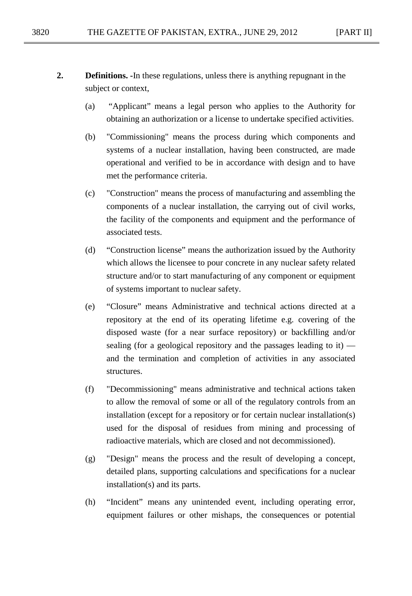- **2. Definitions. -**In these regulations, unless there is anything repugnant in the subject or context,
	- (a) "Applicant" means a legal person who applies to the Authority for obtaining an authorization or a license to undertake specified activities.
	- (b) "Commissioning" means the process during which components and systems of a nuclear installation, having been constructed, are made operational and verified to be in accordance with design and to have met the performance criteria.
	- (c) "Construction" means the process of manufacturing and assembling the components of a nuclear installation, the carrying out of civil works, the facility of the components and equipment and the performance of associated tests.
	- (d) "Construction license" means the authorization issued by the Authority which allows the licensee to pour concrete in any nuclear safety related structure and/or to start manufacturing of any component or equipment of systems important to nuclear safety.
	- (e) "Closure" means Administrative and technical actions directed at a repository at the end of its operating lifetime e.g. covering of the disposed waste (for a near surface repository) or backfilling and/or sealing (for a geological repository and the passages leading to it) and the termination and completion of activities in any associated structures.
	- (f) "Decommissioning" means administrative and technical actions taken to allow the removal of some or all of the regulatory controls from an installation (except for a repository or for certain nuclear installation(s) used for the disposal of residues from mining and processing of radioactive materials, which are closed and not decommissioned).
	- (g) "Design" means the process and the result of developing a concept, detailed plans, supporting calculations and specifications for a nuclear installation(s) and its parts.
	- (h) "Incident" means any unintended event, including operating error, equipment failures or other mishaps, the consequences or potential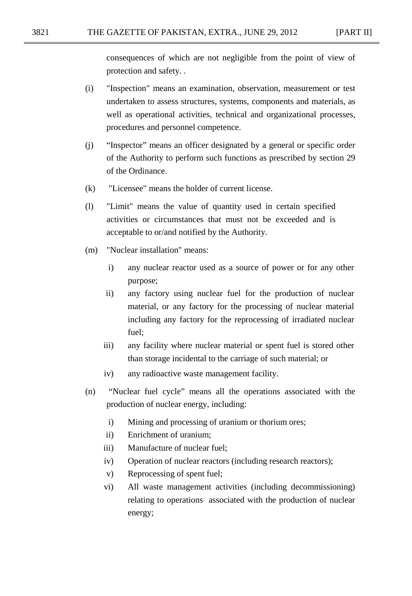consequences of which are not negligible from the point of view of protection and safety. .

- (i) "Inspection" means an examination, observation, measurement or test undertaken to assess structures, systems, components and materials, as well as operational activities, technical and organizational processes, procedures and personnel competence.
- (j) "Inspector" means an officer designated by a general or specific order of the Authority to perform such functions as prescribed by section 29 of the Ordinance.
- (k) "Licensee" means the holder of current license.
- (l) "Limit" means the value of quantity used in certain specified activities or circumstances that must not be exceeded and is acceptable to or/and notified by the Authority.
- (m) "Nuclear installation" means:
	- i) any nuclear reactor used as a source of power or for any other purpose;
	- ii) any factory using nuclear fuel for the production of nuclear material, or any factory for the processing of nuclear material including any factory for the reprocessing of irradiated nuclear fuel;
	- iii) any facility where nuclear material or spent fuel is stored other than storage incidental to the carriage of such material; or
	- iv) any radioactive waste management facility.
- (n) "Nuclear fuel cycle" means all the operations associated with the production of nuclear energy, including:
	- i) Mining and processing of uranium or thorium ores;
	- ii) Enrichment of uranium;
	- iii) Manufacture of nuclear fuel;
	- iv) Operation of nuclear reactors (including research reactors);
	- v) Reprocessing of spent fuel;
	- vi) All waste management activities (including decommissioning) relating to operations associated with the production of nuclear energy;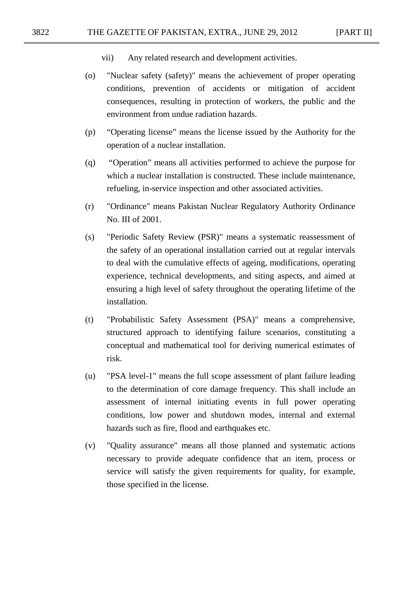- vii) Any related research and development activities.
- (o) "Nuclear safety (safety)" means the achievement of proper operating conditions, prevention of accidents or mitigation of accident consequences, resulting in protection of workers, the public and the environment from undue radiation hazards.
- (p) "Operating license" means the license issued by the Authority for the operation of a nuclear installation.
- (q) "Operation" means all activities performed to achieve the purpose for which a nuclear installation is constructed. These include maintenance, refueling, in-service inspection and other associated activities.
- (r) "Ordinance" means Pakistan Nuclear Regulatory Authority Ordinance No. III of 2001.
- (s) "Periodic Safety Review (PSR)" means a systematic reassessment of the safety of an operational installation carried out at regular intervals to deal with the cumulative effects of ageing, modifications, operating experience, technical developments, and siting aspects, and aimed at ensuring a high level of safety throughout the operating lifetime of the installation.
- (t) "Probabilistic Safety Assessment (PSA)" means a comprehensive, structured approach to identifying failure scenarios, constituting a conceptual and mathematical tool for deriving numerical estimates of risk.
- (u) "PSA level-1" means the full scope assessment of plant failure leading to the determination of core damage frequency. This shall include an assessment of internal initiating events in full power operating conditions, low power and shutdown modes, internal and external hazards such as fire, flood and earthquakes etc.
- (v) "Quality assurance" means all those planned and systematic actions necessary to provide adequate confidence that an item, process or service will satisfy the given requirements for quality, for example, those specified in the license.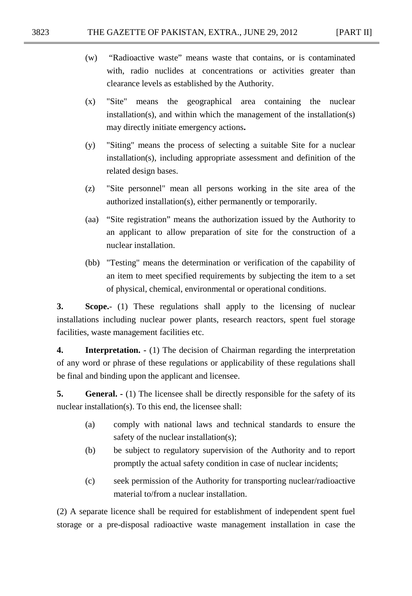- (w) "Radioactive waste" means waste that contains, or is contaminated with, radio nuclides at concentrations or activities greater than clearance levels as established by the Authority.
- (x) "Site" means the geographical area containing the nuclear installation(s), and within which the management of the installation(s) may directly initiate emergency actions**.**
- (y) "Siting" means the process of selecting a suitable Site for a nuclear installation(s), including appropriate assessment and definition of the related design bases.
- (z) "Site personnel" mean all persons working in the site area of the authorized installation(s), either permanently or temporarily.
- (aa) "Site registration" means the authorization issued by the Authority to an applicant to allow preparation of site for the construction of a nuclear installation.
- (bb) "Testing" means the determination or verification of the capability of an item to meet specified requirements by subjecting the item to a set of physical, chemical, environmental or operational conditions.

**3. Scope.**- (1) These regulations shall apply to the licensing of nuclear installations including nuclear power plants, research reactors, spent fuel storage facilities, waste management facilities etc.

**4. Interpretation. -** (1) The decision of Chairman regarding the interpretation of any word or phrase of these regulations or applicability of these regulations shall be final and binding upon the applicant and licensee.

**5. General.** - (1) The licensee shall be directly responsible for the safety of its nuclear installation(s). To this end, the licensee shall:

- (a) comply with national laws and technical standards to ensure the safety of the nuclear installation(s);
- (b) be subject to regulatory supervision of the Authority and to report promptly the actual safety condition in case of nuclear incidents;
- (c) seek permission of the Authority for transporting nuclear/radioactive material to/from a nuclear installation.

(2) A separate licence shall be required for establishment of independent spent fuel storage or a pre-disposal radioactive waste management installation in case the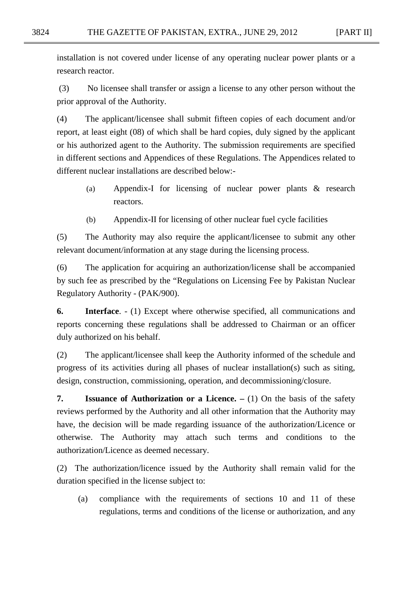installation is not covered under license of any operating nuclear power plants or a research reactor.

(3) No licensee shall transfer or assign a license to any other person without the prior approval of the Authority.

(4) The applicant/licensee shall submit fifteen copies of each document and/or report, at least eight (08) of which shall be hard copies, duly signed by the applicant or his authorized agent to the Authority. The submission requirements are specified in different sections and Appendices of these Regulations. The Appendices related to different nuclear installations are described below:-

- (a) Appendix-I for licensing of nuclear power plants & research reactors.
- (b) Appendix-II for licensing of other nuclear fuel cycle facilities

(5) The Authority may also require the applicant/licensee to submit any other relevant document/information at any stage during the licensing process.

(6) The application for acquiring an authorization/license shall be accompanied by such fee as prescribed by the "Regulations on Licensing Fee by Pakistan Nuclear Regulatory Authority - (PAK/900).

**6. Interface**. - (1) Except where otherwise specified, all communications and reports concerning these regulations shall be addressed to Chairman or an officer duly authorized on his behalf.

(2) The applicant/licensee shall keep the Authority informed of the schedule and progress of its activities during all phases of nuclear installation(s) such as siting, design, construction, commissioning, operation, and decommissioning/closure.

**7. Issuance of Authorization or a Licence.** – (1) On the basis of the safety reviews performed by the Authority and all other information that the Authority may have, the decision will be made regarding issuance of the authorization/Licence or otherwise. The Authority may attach such terms and conditions to the authorization/Licence as deemed necessary.

(2) The authorization/licence issued by the Authority shall remain valid for the duration specified in the license subject to:

(a) compliance with the requirements of sections 10 and 11 of these regulations, terms and conditions of the license or authorization, and any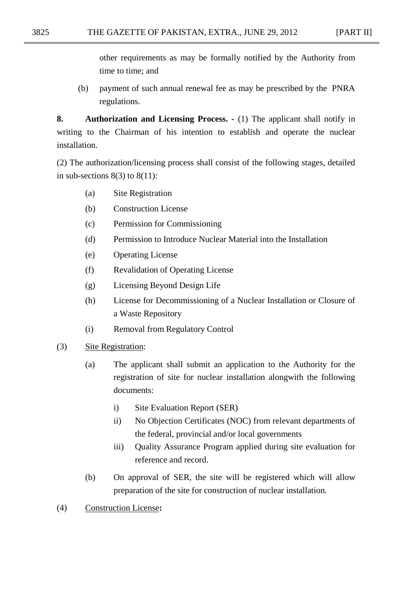other requirements as may be formally notified by the Authority from time to time; and

(b) payment of such annual renewal fee as may be prescribed by the PNRA regulations.

**8. Authorization and Licensing Process. -** (1) The applicant shall notify in writing to the Chairman of his intention to establish and operate the nuclear installation.

(2) The authorization/licensing process shall consist of the following stages, detailed in sub-sections  $8(3)$  to  $8(11)$ :

- (a) Site Registration
- (b) Construction License
- (c) Permission for Commissioning
- (d) Permission to Introduce Nuclear Material into the Installation
- (e) Operating License
- (f) Revalidation of Operating License
- (g) Licensing Beyond Design Life
- (h) License for Decommissioning of a Nuclear Installation or Closure of a Waste Repository
- (i) Removal from Regulatory Control
- (3) Site Registration:
	- (a) The applicant shall submit an application to the Authority for the registration of site for nuclear installation alongwith the following documents:
		- i) Site Evaluation Report (SER)
		- ii) No Objection Certificates (NOC) from relevant departments of the federal, provincial and/or local governments
		- iii) Quality Assurance Program applied during site evaluation for reference and record.
	- (b) On approval of SER, the site will be registered which will allow preparation of the site for construction of nuclear installation.
- (4) Construction License**:**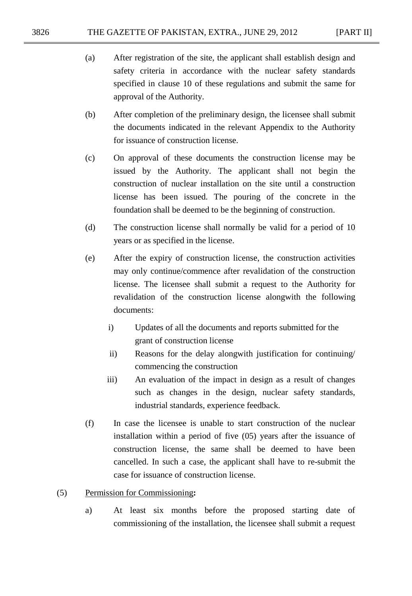- (a) After registration of the site, the applicant shall establish design and safety criteria in accordance with the nuclear safety standards specified in clause 10 of these regulations and submit the same for approval of the Authority.
- (b) After completion of the preliminary design, the licensee shall submit the documents indicated in the relevant Appendix to the Authority for issuance of construction license.
- (c) On approval of these documents the construction license may be issued by the Authority. The applicant shall not begin the construction of nuclear installation on the site until a construction license has been issued. The pouring of the concrete in the foundation shall be deemed to be the beginning of construction.
- (d) The construction license shall normally be valid for a period of 10 years or as specified in the license.
- (e) After the expiry of construction license, the construction activities may only continue/commence after revalidation of the construction license. The licensee shall submit a request to the Authority for revalidation of the construction license alongwith the following documents:
	- i) Updates of all the documents and reports submitted for the grant of construction license
	- ii) Reasons for the delay alongwith justification for continuing/ commencing the construction
	- iii) An evaluation of the impact in design as a result of changes such as changes in the design, nuclear safety standards, industrial standards, experience feedback.
- (f) In case the licensee is unable to start construction of the nuclear installation within a period of five (05) years after the issuance of construction license, the same shall be deemed to have been cancelled. In such a case, the applicant shall have to re-submit the case for issuance of construction license.

### (5) Permission for Commissioning**:**

a) At least six months before the proposed starting date of commissioning of the installation, the licensee shall submit a request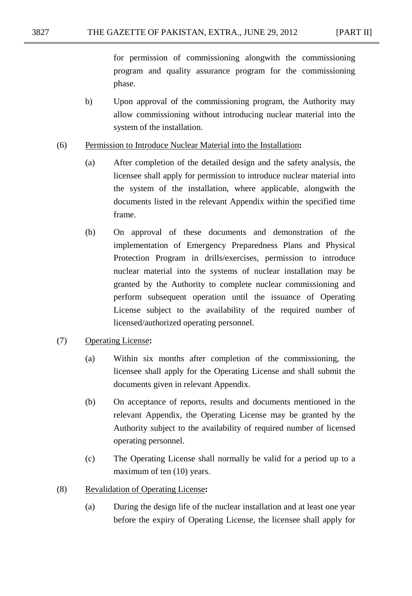for permission of commissioning alongwith the commissioning program and quality assurance program for the commissioning phase.

- b) Upon approval of the commissioning program, the Authority may allow commissioning without introducing nuclear material into the system of the installation.
- (6) Permission to Introduce Nuclear Material into the Installation**:**
	- (a) After completion of the detailed design and the safety analysis, the licensee shall apply for permission to introduce nuclear material into the system of the installation, where applicable, alongwith the documents listed in the relevant Appendix within the specified time frame.
	- (b) On approval of these documents and demonstration of the implementation of Emergency Preparedness Plans and Physical Protection Program in drills/exercises, permission to introduce nuclear material into the systems of nuclear installation may be granted by the Authority to complete nuclear commissioning and perform subsequent operation until the issuance of Operating License subject to the availability of the required number of licensed/authorized operating personnel.
- (7) Operating License**:**
	- (a) Within six months after completion of the commissioning, the licensee shall apply for the Operating License and shall submit the documents given in relevant Appendix.
	- (b) On acceptance of reports, results and documents mentioned in the relevant Appendix, the Operating License may be granted by the Authority subject to the availability of required number of licensed operating personnel.
	- (c) The Operating License shall normally be valid for a period up to a maximum of ten (10) years.
- (8) Revalidation of Operating License**:**
	- (a) During the design life of the nuclear installation and at least one year before the expiry of Operating License, the licensee shall apply for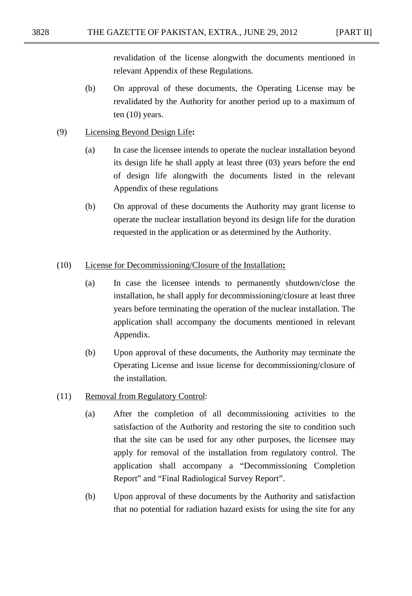revalidation of the license alongwith the documents mentioned in relevant Appendix of these Regulations.

(b) On approval of these documents, the Operating License may be revalidated by the Authority for another period up to a maximum of ten (10) years.

#### (9) Licensing Beyond Design Life**:**

- (a) In case the licensee intends to operate the nuclear installation beyond its design life he shall apply at least three (03) years before the end of design life alongwith the documents listed in the relevant Appendix of these regulations
- (b) On approval of these documents the Authority may grant license to operate the nuclear installation beyond its design life for the duration requested in the application or as determined by the Authority.

#### (10) License for Decommissioning/Closure of the Installation**:**

- (a) In case the licensee intends to permanently shutdown/close the installation, he shall apply for decommissioning/closure at least three years before terminating the operation of the nuclear installation. The application shall accompany the documents mentioned in relevant Appendix.
- (b) Upon approval of these documents, the Authority may terminate the Operating License and issue license for decommissioning/closure of the installation.
- (11) Removal from Regulatory Control:
	- (a) After the completion of all decommissioning activities to the satisfaction of the Authority and restoring the site to condition such that the site can be used for any other purposes, the licensee may apply for removal of the installation from regulatory control. The application shall accompany a "Decommissioning Completion Report" and "Final Radiological Survey Report".
	- (b) Upon approval of these documents by the Authority and satisfaction that no potential for radiation hazard exists for using the site for any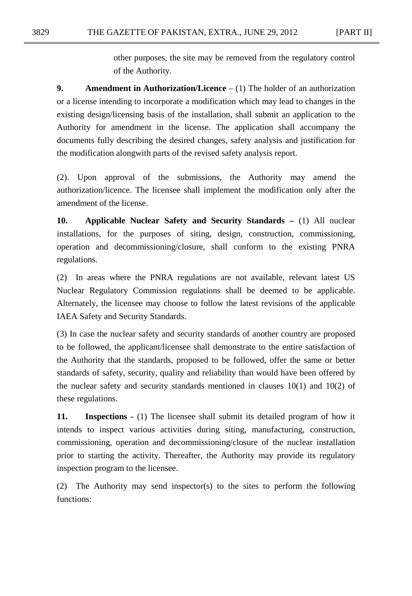other purposes, the site may be removed from the regulatory control of the Authority.

**9. Amendment in Authorization/Licence** – (1) The holder of an authorization or a license intending to incorporate a modification which may lead to changes in the existing design/licensing basis of the installation, shall submit an application to the Authority for amendment in the license. The application shall accompany the documents fully describing the desired changes, safety analysis and justification for the modification alongwith parts of the revised safety analysis report.

(2). Upon approval of the submissions, the Authority may amend the authorization/licence. The licensee shall implement the modification only after the amendment of the license.

**10. Applicable Nuclear Safety and Security Standards –** (1) All nuclear installations, for the purposes of siting, design, construction, commissioning, operation and decommissioning/closure, shall conform to the existing PNRA regulations.

(2) In areas where the PNRA regulations are not available, relevant latest US Nuclear Regulatory Commission regulations shall be deemed to be applicable. Alternately, the licensee may choose to follow the latest revisions of the applicable IAEA Safety and Security Standards.

(3) In case the nuclear safety and security standards of another country are proposed to be followed, the applicant/licensee shall demonstrate to the entire satisfaction of the Authority that the standards, proposed to be followed, offer the same or better standards of safety, security, quality and reliability than would have been offered by the nuclear safety and security standards mentioned in clauses  $10(1)$  and  $10(2)$  of these regulations.

**11. Inspections -** (1) The licensee shall submit its detailed program of how it intends to inspect various activities during siting, manufacturing, construction, commissioning, operation and decommissioning/closure of the nuclear installation prior to starting the activity. Thereafter, the Authority may provide its regulatory inspection program to the licensee.

(2) The Authority may send inspector(s) to the sites to perform the following functions: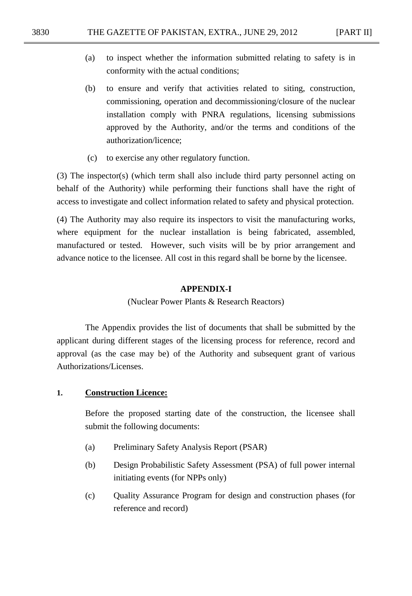- (a) to inspect whether the information submitted relating to safety is in conformity with the actual conditions;
- (b) to ensure and verify that activities related to siting, construction, commissioning, operation and decommissioning/closure of the nuclear installation comply with PNRA regulations, licensing submissions approved by the Authority, and/or the terms and conditions of the authorization/licence;
- (c) to exercise any other regulatory function.

(3) The inspector(s) (which term shall also include third party personnel acting on behalf of the Authority) while performing their functions shall have the right of access to investigate and collect information related to safety and physical protection.

(4) The Authority may also require its inspectors to visit the manufacturing works, where equipment for the nuclear installation is being fabricated, assembled, manufactured or tested. However, such visits will be by prior arrangement and advance notice to the licensee. All cost in this regard shall be borne by the licensee.

#### **APPENDIX-I**

(Nuclear Power Plants & Research Reactors)

The Appendix provides the list of documents that shall be submitted by the applicant during different stages of the licensing process for reference, record and approval (as the case may be) of the Authority and subsequent grant of various Authorizations/Licenses.

#### **1. Construction Licence:**

Before the proposed starting date of the construction, the licensee shall submit the following documents:

- (a) Preliminary Safety Analysis Report (PSAR)
- (b) Design Probabilistic Safety Assessment (PSA) of full power internal initiating events (for NPPs only)
- (c) Quality Assurance Program for design and construction phases (for reference and record)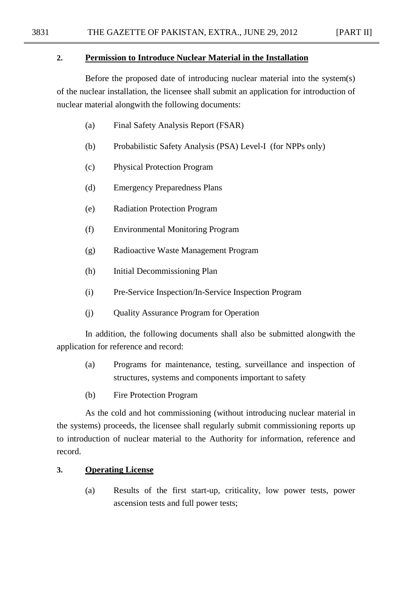#### **2. Permission to Introduce Nuclear Material in the Installation**

Before the proposed date of introducing nuclear material into the system(s) of the nuclear installation, the licensee shall submit an application for introduction of nuclear material alongwith the following documents:

- (a) Final Safety Analysis Report (FSAR)
- (b) Probabilistic Safety Analysis (PSA) Level-I (for NPPs only)
- (c) Physical Protection Program
- (d) Emergency Preparedness Plans
- (e) Radiation Protection Program
- (f) Environmental Monitoring Program
- (g) Radioactive Waste Management Program
- (h) Initial Decommissioning Plan
- (i) Pre-Service Inspection/In-Service Inspection Program
- (j) Quality Assurance Program for Operation

In addition, the following documents shall also be submitted alongwith the application for reference and record:

- (a) Programs for maintenance, testing, surveillance and inspection of structures, systems and components important to safety
- (b) Fire Protection Program

As the cold and hot commissioning (without introducing nuclear material in the systems) proceeds, the licensee shall regularly submit commissioning reports up to introduction of nuclear material to the Authority for information, reference and record.

## **3. Operating License**

(a) Results of the first start-up, criticality, low power tests, power ascension tests and full power tests;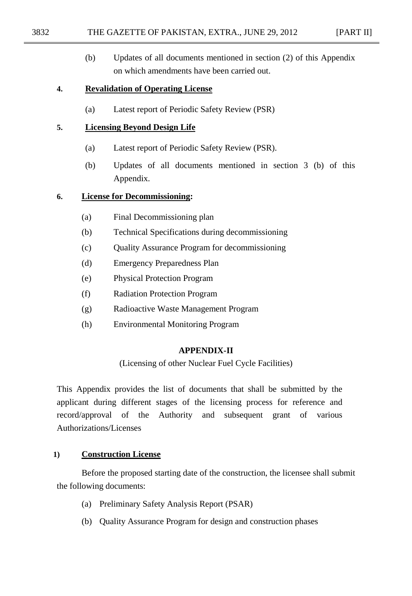#### 3832 THE GAZETTE OF PAKISTAN, EXTRA., JUNE 29, 2012 [PART II]

- 
- (b) Updates of all documents mentioned in section (2) of this Appendix on which amendments have been carried out.

### **4. Revalidation of Operating License**

(a) Latest report of Periodic Safety Review (PSR)

## **5. Licensing Beyond Design Life**

- (a) Latest report of Periodic Safety Review (PSR).
- (b) Updates of all documents mentioned in section 3 (b) of this Appendix.

## **6. License for Decommissioning:**

- (a) Final Decommissioning plan
- (b) Technical Specifications during decommissioning
- (c) Quality Assurance Program for decommissioning
- (d) Emergency Preparedness Plan
- (e) Physical Protection Program
- (f) Radiation Protection Program
- (g) Radioactive Waste Management Program
- (h) Environmental Monitoring Program

### **APPENDIX-II**

(Licensing of other Nuclear Fuel Cycle Facilities)

This Appendix provides the list of documents that shall be submitted by the applicant during different stages of the licensing process for reference and record/approval of the Authority and subsequent grant of various Authorizations/Licenses

### **1) Construction License**

Before the proposed starting date of the construction, the licensee shall submit the following documents:

- (a) Preliminary Safety Analysis Report (PSAR)
- (b) Quality Assurance Program for design and construction phases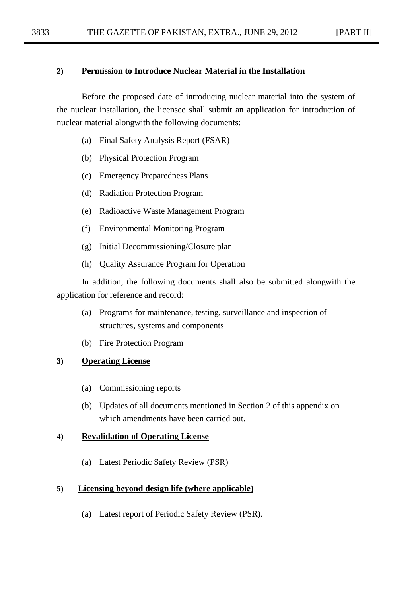#### **2) Permission to Introduce Nuclear Material in the Installation**

Before the proposed date of introducing nuclear material into the system of the nuclear installation, the licensee shall submit an application for introduction of nuclear material alongwith the following documents:

- (a) Final Safety Analysis Report (FSAR)
- (b) Physical Protection Program
- (c) Emergency Preparedness Plans
- (d) Radiation Protection Program
- (e) Radioactive Waste Management Program
- (f) Environmental Monitoring Program
- (g) Initial Decommissioning/Closure plan
- (h) Quality Assurance Program for Operation

In addition, the following documents shall also be submitted alongwith the application for reference and record:

- (a) Programs for maintenance, testing, surveillance and inspection of structures, systems and components
- (b) Fire Protection Program

## **3) Operating License**

- (a) Commissioning reports
- (b) Updates of all documents mentioned in Section 2 of this appendix on which amendments have been carried out.

### **4) Revalidation of Operating License**

(a) Latest Periodic Safety Review (PSR)

### **5) Licensing beyond design life (where applicable)**

(a) Latest report of Periodic Safety Review (PSR).